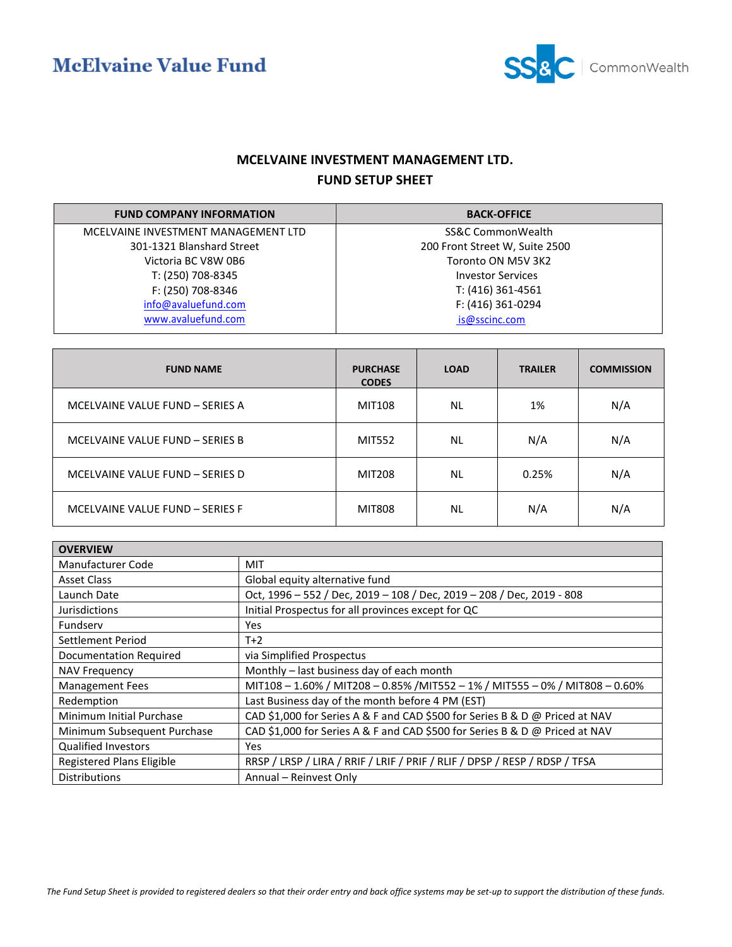

## **MCELVAINE INVESTMENT MANAGEMENT LTD. FUND SETUP SHEET**

| <b>FUND COMPANY INFORMATION</b>     | <b>BACK-OFFICE</b>             |
|-------------------------------------|--------------------------------|
| MCELVAINE INVESTMENT MANAGEMENT LTD | SS&C CommonWealth              |
| 301-1321 Blanshard Street           | 200 Front Street W, Suite 2500 |
| Victoria BC V8W 0B6                 | Toronto ON M5V 3K2             |
| T: (250) 708-8345                   | <b>Investor Services</b>       |
| F: (250) 708-8346                   | T: (416) 361-4561              |
| info@avaluefund.com                 | F: (416) 361-0294              |
| www.avaluefund.com                  | is@sscinc.com                  |

| <b>FUND NAME</b>                | <b>PURCHASE</b><br><b>CODES</b> | <b>LOAD</b> | <b>TRAILER</b> | <b>COMMISSION</b> |
|---------------------------------|---------------------------------|-------------|----------------|-------------------|
| MCELVAINE VALUE FUND - SERIES A | MIT108                          | <b>NL</b>   | 1%             | N/A               |
| MCELVAINE VALUE FUND - SERIES B | <b>MIT552</b>                   | <b>NL</b>   | N/A            | N/A               |
| MCELVAINE VALUE FUND - SERIES D | MIT208                          | <b>NL</b>   | 0.25%          | N/A               |
| MCELVAINE VALUE FUND - SERIES F | <b>MIT808</b>                   | <b>NL</b>   | N/A            | N/A               |

| <b>OVERVIEW</b>                  |                                                                             |
|----------------------------------|-----------------------------------------------------------------------------|
| Manufacturer Code                | MIT                                                                         |
| Asset Class                      | Global equity alternative fund                                              |
| Launch Date                      | Oct, 1996 - 552 / Dec, 2019 - 108 / Dec, 2019 - 208 / Dec, 2019 - 808       |
| Jurisdictions                    | Initial Prospectus for all provinces except for QC                          |
| Fundserv                         | Yes                                                                         |
| Settlement Period                | $T+2$                                                                       |
| Documentation Required           | via Simplified Prospectus                                                   |
| <b>NAV Frequency</b>             | Monthly - last business day of each month                                   |
| <b>Management Fees</b>           | MIT108-1.60% / MIT208-0.85% / MIT552-1% / MIT555-0% / MIT808-0.60%          |
| Redemption                       | Last Business day of the month before 4 PM (EST)                            |
| Minimum Initial Purchase         | CAD \$1,000 for Series A & F and CAD \$500 for Series B & D @ Priced at NAV |
| Minimum Subsequent Purchase      | CAD \$1,000 for Series A & F and CAD \$500 for Series B & D @ Priced at NAV |
| <b>Qualified Investors</b>       | <b>Yes</b>                                                                  |
| <b>Registered Plans Eligible</b> | RRSP / LRSP / LIRA / RRIF / LRIF / PRIF / RLIF / DPSP / RESP / RDSP / TFSA  |
| <b>Distributions</b>             | Annual - Reinvest Only                                                      |